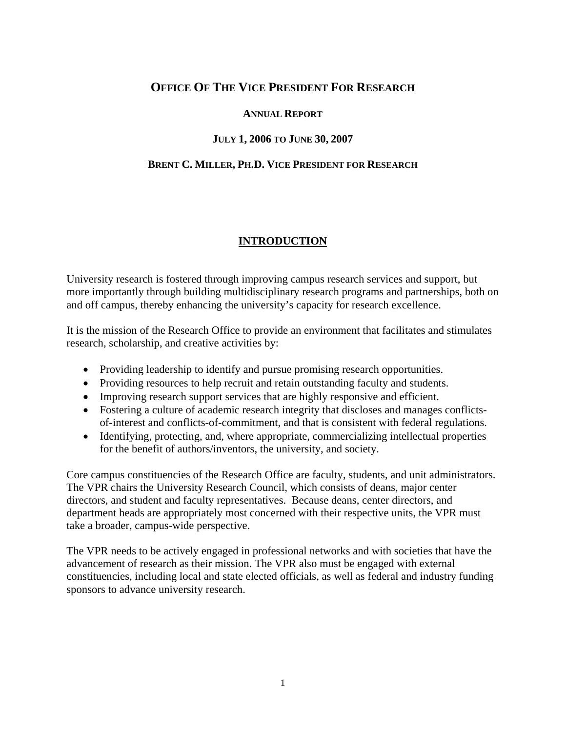## **OFFICE OF THE VICE PRESIDENT FOR RESEARCH**

#### **ANNUAL REPORT**

## **JULY 1, 2006 TO JUNE 30, 2007**

### **BRENT C. MILLER, PH.D. VICE PRESIDENT FOR RESEARCH**

## **INTRODUCTION**

University research is fostered through improving campus research services and support, but more importantly through building multidisciplinary research programs and partnerships, both on and off campus, thereby enhancing the university's capacity for research excellence.

It is the mission of the Research Office to provide an environment that facilitates and stimulates research, scholarship, and creative activities by:

- Providing leadership to identify and pursue promising research opportunities.
- Providing resources to help recruit and retain outstanding faculty and students.
- Improving research support services that are highly responsive and efficient.
- Fostering a culture of academic research integrity that discloses and manages conflictsof-interest and conflicts-of-commitment, and that is consistent with federal regulations.
- Identifying, protecting, and, where appropriate, commercializing intellectual properties for the benefit of authors/inventors, the university, and society.

Core campus constituencies of the Research Office are faculty, students, and unit administrators. The VPR chairs the University Research Council, which consists of deans, major center directors, and student and faculty representatives. Because deans, center directors, and department heads are appropriately most concerned with their respective units, the VPR must take a broader, campus-wide perspective.

The VPR needs to be actively engaged in professional networks and with societies that have the advancement of research as their mission. The VPR also must be engaged with external constituencies, including local and state elected officials, as well as federal and industry funding sponsors to advance university research.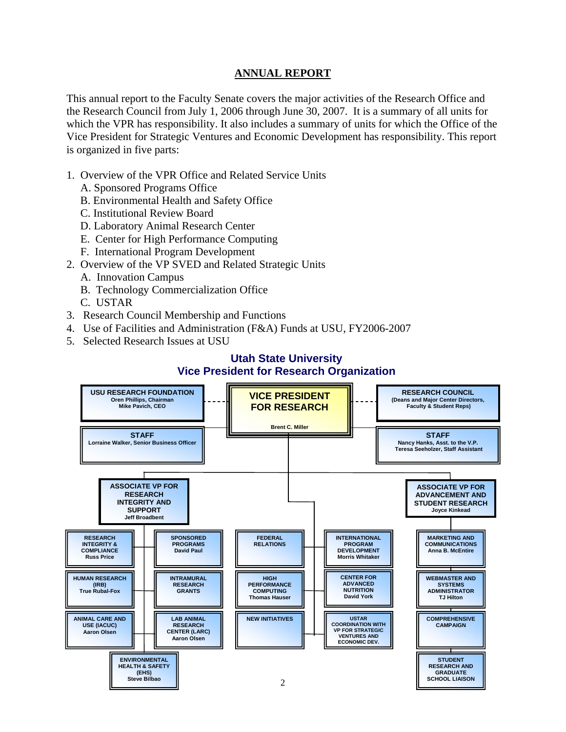### **ANNUAL REPORT**

This annual report to the Faculty Senate covers the major activities of the Research Office and the Research Council from July 1, 2006 through June 30, 2007. It is a summary of all units for which the VPR has responsibility. It also includes a summary of units for which the Office of the Vice President for Strategic Ventures and Economic Development has responsibility. This report is organized in five parts:

- 1. Overview of the VPR Office and Related Service Units
	- A. Sponsored Programs Office
	- B. Environmental Health and Safety Office
	- C. Institutional Review Board
	- D. Laboratory Animal Research Center
	- E. Center for High Performance Computing
	- F. International Program Development
- 2. Overview of the VP SVED and Related Strategic Units
	- A. Innovation Campus
	- B. Technology Commercialization Office
	- C. USTAR
- 3. Research Council Membership and Functions
- 4. Use of Facilities and Administration (F&A) Funds at USU, FY2006-2007
- 5. Selected Research Issues at USU

## **Utah State University Vice President for Research Organization**

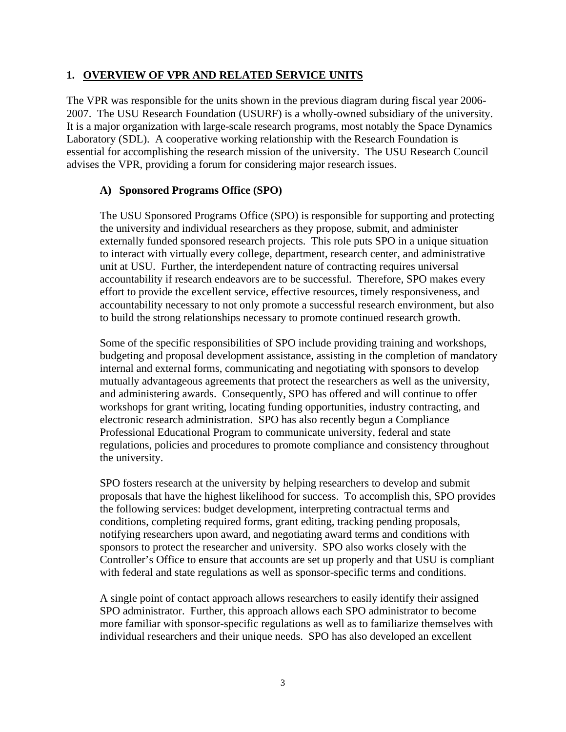### **1. OVERVIEW OF VPR AND RELATED SERVICE UNITS**

The VPR was responsible for the units shown in the previous diagram during fiscal year 2006- 2007. The USU Research Foundation (USURF) is a wholly-owned subsidiary of the university. It is a major organization with large-scale research programs, most notably the Space Dynamics Laboratory (SDL). A cooperative working relationship with the Research Foundation is essential for accomplishing the research mission of the university. The USU Research Council advises the VPR, providing a forum for considering major research issues.

### **A) Sponsored Programs Office (SPO)**

The USU Sponsored Programs Office (SPO) is responsible for supporting and protecting the university and individual researchers as they propose, submit, and administer externally funded sponsored research projects. This role puts SPO in a unique situation to interact with virtually every college, department, research center, and administrative unit at USU. Further, the interdependent nature of contracting requires universal accountability if research endeavors are to be successful. Therefore, SPO makes every effort to provide the excellent service, effective resources, timely responsiveness, and accountability necessary to not only promote a successful research environment, but also to build the strong relationships necessary to promote continued research growth.

Some of the specific responsibilities of SPO include providing training and workshops, budgeting and proposal development assistance, assisting in the completion of mandatory internal and external forms, communicating and negotiating with sponsors to develop mutually advantageous agreements that protect the researchers as well as the university, and administering awards. Consequently, SPO has offered and will continue to offer workshops for grant writing, locating funding opportunities, industry contracting, and electronic research administration. SPO has also recently begun a Compliance Professional Educational Program to communicate university, federal and state regulations, policies and procedures to promote compliance and consistency throughout the university.

SPO fosters research at the university by helping researchers to develop and submit proposals that have the highest likelihood for success. To accomplish this, SPO provides the following services: budget development, interpreting contractual terms and conditions, completing required forms, grant editing, tracking pending proposals, notifying researchers upon award, and negotiating award terms and conditions with sponsors to protect the researcher and university. SPO also works closely with the Controller's Office to ensure that accounts are set up properly and that USU is compliant with federal and state regulations as well as sponsor-specific terms and conditions.

A single point of contact approach allows researchers to easily identify their assigned SPO administrator. Further, this approach allows each SPO administrator to become more familiar with sponsor-specific regulations as well as to familiarize themselves with individual researchers and their unique needs. SPO has also developed an excellent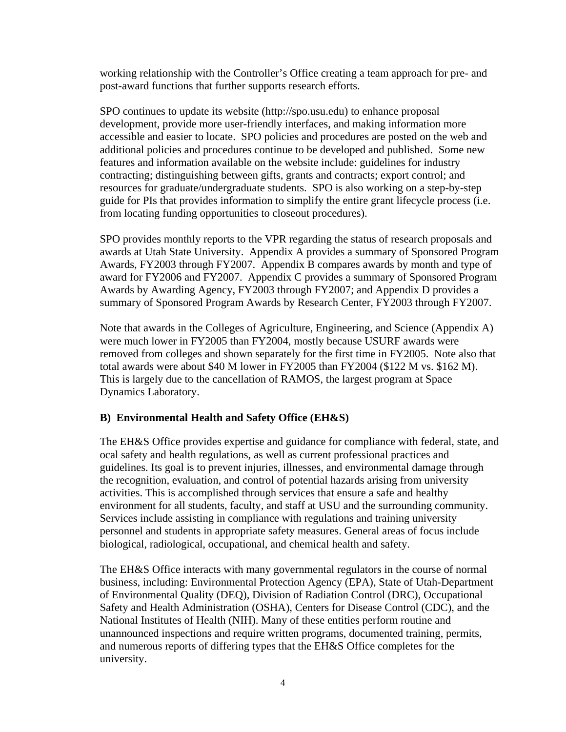working relationship with the Controller's Office creating a team approach for pre- and post-award functions that further supports research efforts.

SPO continues to update its website (http://spo.usu.edu) to enhance proposal development, provide more user-friendly interfaces, and making information more accessible and easier to locate. SPO policies and procedures are posted on the web and additional policies and procedures continue to be developed and published. Some new features and information available on the website include: guidelines for industry contracting; distinguishing between gifts, grants and contracts; export control; and resources for graduate/undergraduate students. SPO is also working on a step-by-step guide for PIs that provides information to simplify the entire grant lifecycle process (i.e. from locating funding opportunities to closeout procedures).

SPO provides monthly reports to the VPR regarding the status of research proposals and awards at Utah State University. Appendix A provides a summary of Sponsored Program Awards, FY2003 through FY2007. Appendix B compares awards by month and type of award for FY2006 and FY2007. Appendix C provides a summary of Sponsored Program Awards by Awarding Agency, FY2003 through FY2007; and Appendix D provides a summary of Sponsored Program Awards by Research Center, FY2003 through FY2007.

Note that awards in the Colleges of Agriculture, Engineering, and Science (Appendix A) were much lower in FY2005 than FY2004, mostly because USURF awards were removed from colleges and shown separately for the first time in FY2005. Note also that total awards were about \$40 M lower in FY2005 than FY2004 (\$122 M vs. \$162 M). This is largely due to the cancellation of RAMOS, the largest program at Space Dynamics Laboratory.

## **B) Environmental Health and Safety Office (EH&S)**

The EH&S Office provides expertise and guidance for compliance with federal, state, and ocal safety and health regulations, as well as current professional practices and guidelines. Its goal is to prevent injuries, illnesses, and environmental damage through the recognition, evaluation, and control of potential hazards arising from university activities. This is accomplished through services that ensure a safe and healthy environment for all students, faculty, and staff at USU and the surrounding community. Services include assisting in compliance with regulations and training university personnel and students in appropriate safety measures. General areas of focus include biological, radiological, occupational, and chemical health and safety.

The EH&S Office interacts with many governmental regulators in the course of normal business, including: Environmental Protection Agency (EPA), State of Utah-Department of Environmental Quality (DEQ), Division of Radiation Control (DRC), Occupational Safety and Health Administration (OSHA), Centers for Disease Control (CDC), and the National Institutes of Health (NIH). Many of these entities perform routine and unannounced inspections and require written programs, documented training, permits, and numerous reports of differing types that the EH&S Office completes for the university.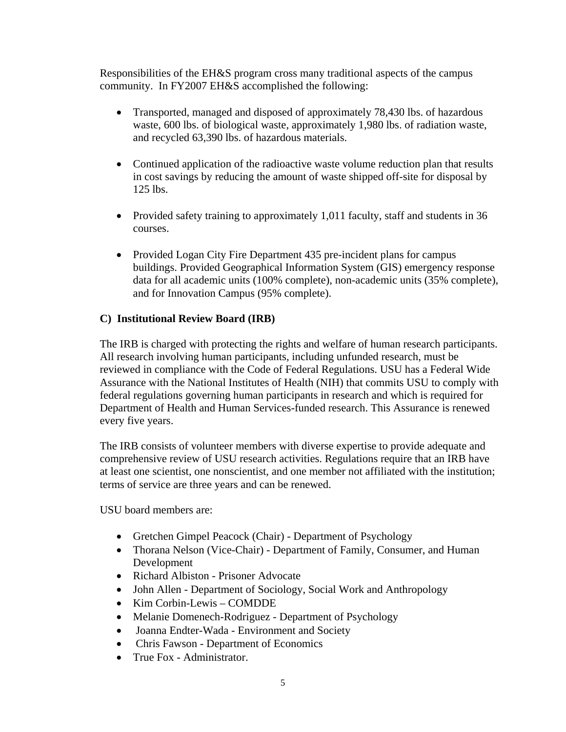Responsibilities of the EH&S program cross many traditional aspects of the campus community. In FY2007 EH&S accomplished the following:

- Transported, managed and disposed of approximately 78,430 lbs. of hazardous waste, 600 lbs. of biological waste, approximately 1,980 lbs. of radiation waste, and recycled 63,390 lbs. of hazardous materials.
- Continued application of the radioactive waste volume reduction plan that results in cost savings by reducing the amount of waste shipped off-site for disposal by 125 lbs.
- Provided safety training to approximately 1,011 faculty, staff and students in 36 courses.
- Provided Logan City Fire Department 435 pre-incident plans for campus buildings. Provided Geographical Information System (GIS) emergency response data for all academic units (100% complete), non-academic units (35% complete), and for Innovation Campus (95% complete).

### **C) Institutional Review Board (IRB)**

The IRB is charged with protecting the rights and welfare of human research participants. All research involving human participants, including unfunded research, must be reviewed in compliance with the Code of Federal Regulations. USU has a Federal Wide Assurance with the National Institutes of Health (NIH) that commits USU to comply with federal regulations governing human participants in research and which is required for Department of Health and Human Services-funded research. This Assurance is renewed every five years.

The IRB consists of volunteer members with diverse expertise to provide adequate and comprehensive review of USU research activities. Regulations require that an IRB have at least one scientist, one nonscientist, and one member not affiliated with the institution; terms of service are three years and can be renewed.

USU board members are:

- Gretchen Gimpel Peacock (Chair) Department of Psychology
- Thorana Nelson (Vice-Chair) Department of Family, Consumer, and Human Development
- Richard Albiston Prisoner Advocate
- John Allen Department of Sociology, Social Work and Anthropology
- Kim Corbin-Lewis COMDDE
- Melanie Domenech-Rodriguez Department of Psychology
- Joanna Endter-Wada Environment and Society
- Chris Fawson Department of Economics
- True Fox Administrator.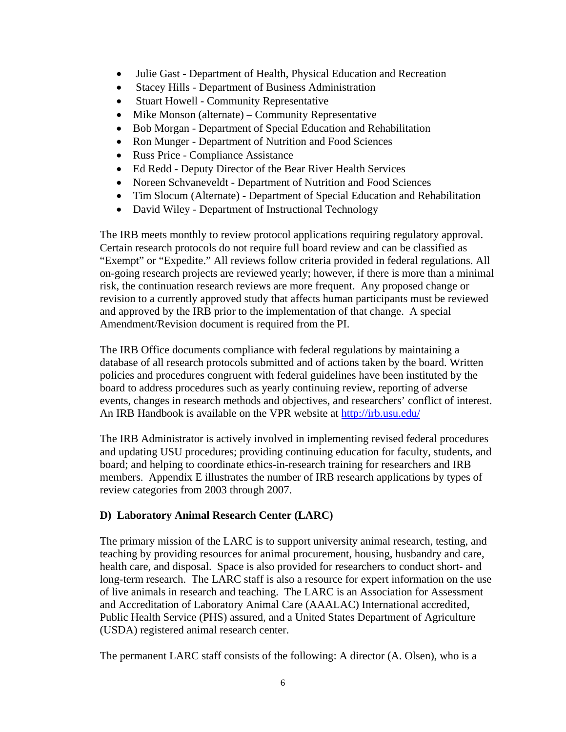- Julie Gast Department of Health, Physical Education and Recreation
- Stacey Hills Department of Business Administration
- Stuart Howell Community Representative
- Mike Monson (alternate) Community Representative
- Bob Morgan Department of Special Education and Rehabilitation
- Ron Munger Department of Nutrition and Food Sciences
- Russ Price Compliance Assistance
- Ed Redd Deputy Director of the Bear River Health Services
- Noreen Schvaneveldt Department of Nutrition and Food Sciences
- Tim Slocum (Alternate) Department of Special Education and Rehabilitation
- David Wiley Department of Instructional Technology

The IRB meets monthly to review protocol applications requiring regulatory approval. Certain research protocols do not require full board review and can be classified as "Exempt" or "Expedite." All reviews follow criteria provided in federal regulations. All on-going research projects are reviewed yearly; however, if there is more than a minimal risk, the continuation research reviews are more frequent. Any proposed change or revision to a currently approved study that affects human participants must be reviewed and approved by the IRB prior to the implementation of that change. A special Amendment/Revision document is required from the PI.

The IRB Office documents compliance with federal regulations by maintaining a database of all research protocols submitted and of actions taken by the board. Written policies and procedures congruent with federal guidelines have been instituted by the board to address procedures such as yearly continuing review, reporting of adverse events, changes in research methods and objectives, and researchers' conflict of interest. An IRB Handbook is available on the VPR website at http://irb.usu.edu/

The IRB Administrator is actively involved in implementing revised federal procedures and updating USU procedures; providing continuing education for faculty, students, and board; and helping to coordinate ethics-in-research training for researchers and IRB members. Appendix E illustrates the number of IRB research applications by types of review categories from 2003 through 2007.

## **D) Laboratory Animal Research Center (LARC)**

The primary mission of the LARC is to support university animal research, testing, and teaching by providing resources for animal procurement, housing, husbandry and care, health care, and disposal. Space is also provided for researchers to conduct short- and long-term research. The LARC staff is also a resource for expert information on the use of live animals in research and teaching. The LARC is an Association for Assessment and Accreditation of Laboratory Animal Care (AAALAC) International accredited, Public Health Service (PHS) assured, and a United States Department of Agriculture (USDA) registered animal research center.

The permanent LARC staff consists of the following: A director (A. Olsen), who is a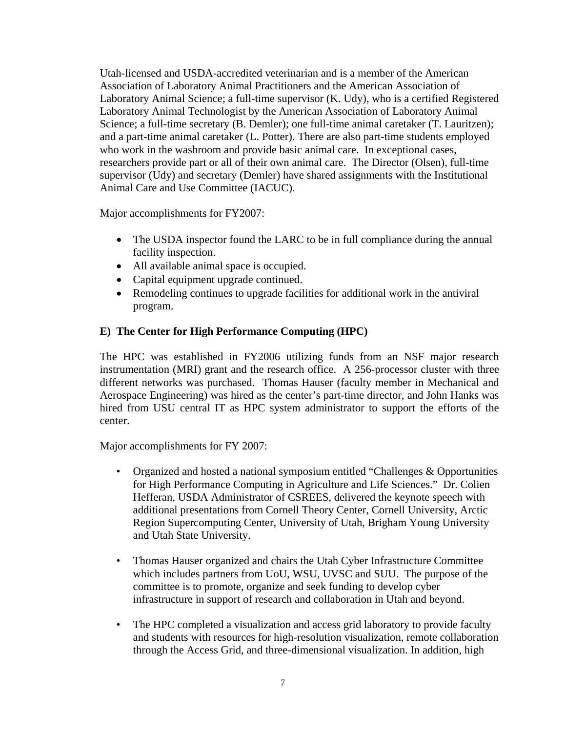Utah-licensed and USDA-accredited veterinarian and is a member of the American Association of Laboratory Animal Practitioners and the American Association of Laboratory Animal Science; a full-time supervisor (K. Udy), who is a certified Registered Laboratory Animal Technologist by the American Association of Laboratory Animal Science; a full-time secretary (B. Demler); one full-time animal caretaker (T. Lauritzen); and a part-time animal caretaker (L. Potter). There are also part-time students employed who work in the washroom and provide basic animal care. In exceptional cases, researchers provide part or all of their own animal care. The Director (Olsen), full-time supervisor (Udy) and secretary (Demler) have shared assignments with the Institutional Animal Care and Use Committee (IACUC).

Major accomplishments for FY2007:

- The USDA inspector found the LARC to be in full compliance during the annual facility inspection.
- All available animal space is occupied.
- Capital equipment upgrade continued.
- Remodeling continues to upgrade facilities for additional work in the antiviral program.

## **E) The Center for High Performance Computing (HPC)**

The HPC was established in FY2006 utilizing funds from an NSF major research instrumentation (MRI) grant and the research office. A 256-processor cluster with three different networks was purchased. Thomas Hauser (faculty member in Mechanical and Aerospace Engineering) was hired as the center's part-time director, and John Hanks was hired from USU central IT as HPC system administrator to support the efforts of the center.

Major accomplishments for FY 2007:

- Organized and hosted a national symposium entitled "Challenges & Opportunities" for High Performance Computing in Agriculture and Life Sciences." Dr. Colien Hefferan, USDA Administrator of CSREES, delivered the keynote speech with additional presentations from Cornell Theory Center, Cornell University, Arctic Region Supercomputing Center, University of Utah, Brigham Young University and Utah State University.
- Thomas Hauser organized and chairs the Utah Cyber Infrastructure Committee which includes partners from UoU, WSU, UVSC and SUU. The purpose of the committee is to promote, organize and seek funding to develop cyber infrastructure in support of research and collaboration in Utah and beyond.
- The HPC completed a visualization and access grid laboratory to provide faculty and students with resources for high-resolution visualization, remote collaboration through the Access Grid, and three-dimensional visualization. In addition, high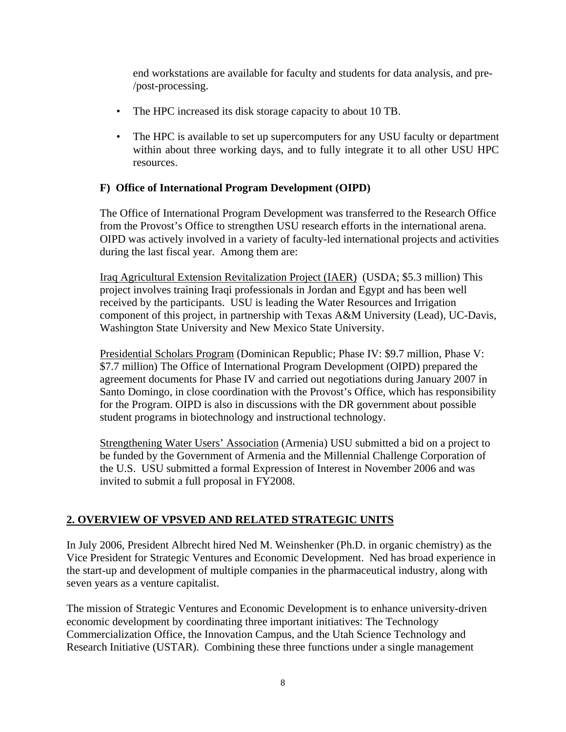end workstations are available for faculty and students for data analysis, and pre- /post-processing.

- The HPC increased its disk storage capacity to about 10 TB.
- The HPC is available to set up supercomputers for any USU faculty or department within about three working days, and to fully integrate it to all other USU HPC resources.

### **F) Office of International Program Development (OIPD)**

The Office of International Program Development was transferred to the Research Office from the Provost's Office to strengthen USU research efforts in the international arena. OIPD was actively involved in a variety of faculty-led international projects and activities during the last fiscal year. Among them are:

Iraq Agricultural Extension Revitalization Project (IAER) (USDA; \$5.3 million) This project involves training Iraqi professionals in Jordan and Egypt and has been well received by the participants. USU is leading the Water Resources and Irrigation component of this project, in partnership with Texas A&M University (Lead), UC-Davis, Washington State University and New Mexico State University.

Presidential Scholars Program (Dominican Republic; Phase IV: \$9.7 million, Phase V: \$7.7 million) The Office of International Program Development (OIPD) prepared the agreement documents for Phase IV and carried out negotiations during January 2007 in Santo Domingo, in close coordination with the Provost's Office, which has responsibility for the Program. OIPD is also in discussions with the DR government about possible student programs in biotechnology and instructional technology.

Strengthening Water Users' Association (Armenia) USU submitted a bid on a project to be funded by the Government of Armenia and the Millennial Challenge Corporation of the U.S. USU submitted a formal Expression of Interest in November 2006 and was invited to submit a full proposal in FY2008.

## **2. OVERVIEW OF VPSVED AND RELATED STRATEGIC UNITS**

In July 2006, President Albrecht hired Ned M. Weinshenker (Ph.D. in organic chemistry) as the Vice President for Strategic Ventures and Economic Development. Ned has broad experience in the start-up and development of multiple companies in the pharmaceutical industry, along with seven years as a venture capitalist.

The mission of Strategic Ventures and Economic Development is to enhance university-driven economic development by coordinating three important initiatives: The Technology Commercialization Office, the Innovation Campus, and the Utah Science Technology and Research Initiative (USTAR). Combining these three functions under a single management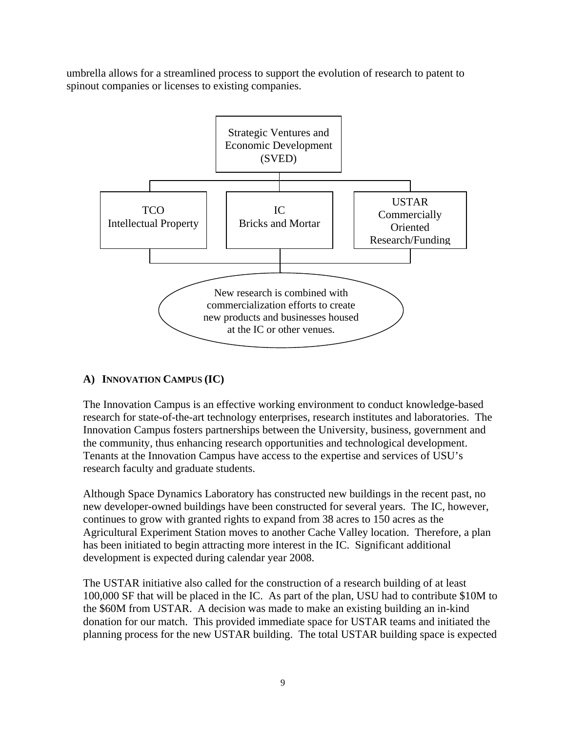umbrella allows for a streamlined process to support the evolution of research to patent to spinout companies or licenses to existing companies.



## **A) INNOVATION CAMPUS (IC)**

The Innovation Campus is an effective working environment to conduct knowledge-based research for state-of-the-art technology enterprises, research institutes and laboratories. The Innovation Campus fosters partnerships between the University, business, government and the community, thus enhancing research opportunities and technological development. Tenants at the Innovation Campus have access to the expertise and services of USU's research faculty and graduate students.

Although Space Dynamics Laboratory has constructed new buildings in the recent past, no new developer-owned buildings have been constructed for several years. The IC, however, continues to grow with granted rights to expand from 38 acres to 150 acres as the Agricultural Experiment Station moves to another Cache Valley location. Therefore, a plan has been initiated to begin attracting more interest in the IC. Significant additional development is expected during calendar year 2008.

The USTAR initiative also called for the construction of a research building of at least 100,000 SF that will be placed in the IC. As part of the plan, USU had to contribute \$10M to the \$60M from USTAR. A decision was made to make an existing building an in-kind donation for our match. This provided immediate space for USTAR teams and initiated the planning process for the new USTAR building. The total USTAR building space is expected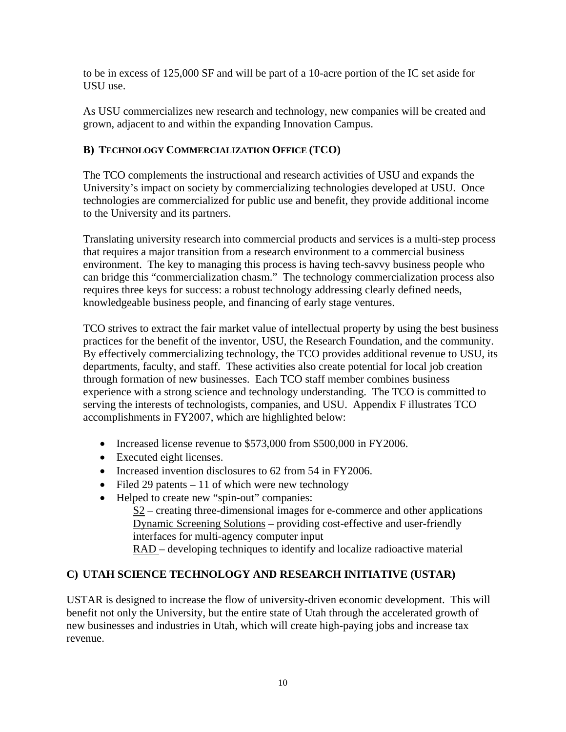to be in excess of 125,000 SF and will be part of a 10-acre portion of the IC set aside for USU use.

As USU commercializes new research and technology, new companies will be created and grown, adjacent to and within the expanding Innovation Campus.

## **B) TECHNOLOGY COMMERCIALIZATION OFFICE (TCO)**

The TCO complements the instructional and research activities of USU and expands the University's impact on society by commercializing technologies developed at USU. Once technologies are commercialized for public use and benefit, they provide additional income to the University and its partners.

Translating university research into commercial products and services is a multi-step process that requires a major transition from a research environment to a commercial business environment. The key to managing this process is having tech-savvy business people who can bridge this "commercialization chasm." The technology commercialization process also requires three keys for success: a robust technology addressing clearly defined needs, knowledgeable business people, and financing of early stage ventures.

TCO strives to extract the fair market value of intellectual property by using the best business practices for the benefit of the inventor, USU, the Research Foundation, and the community. By effectively commercializing technology, the TCO provides additional revenue to USU, its departments, faculty, and staff. These activities also create potential for local job creation through formation of new businesses. Each TCO staff member combines business experience with a strong science and technology understanding. The TCO is committed to serving the interests of technologists, companies, and USU. Appendix F illustrates TCO accomplishments in FY2007, which are highlighted below:

- Increased license revenue to \$573,000 from \$500,000 in FY2006.
- Executed eight licenses.
- Increased invention disclosures to 62 from 54 in FY2006.
- Filed 29 patents  $-11$  of which were new technology
- Helped to create new "spin-out" companies:

S2 – creating three-dimensional images for e-commerce and other applications Dynamic Screening Solutions – providing cost-effective and user-friendly interfaces for multi-agency computer input RAD – developing techniques to identify and localize radioactive material

## **C) UTAH SCIENCE TECHNOLOGY AND RESEARCH INITIATIVE (USTAR)**

USTAR is designed to increase the flow of university-driven economic development. This will benefit not only the University, but the entire state of Utah through the accelerated growth of new businesses and industries in Utah, which will create high-paying jobs and increase tax revenue.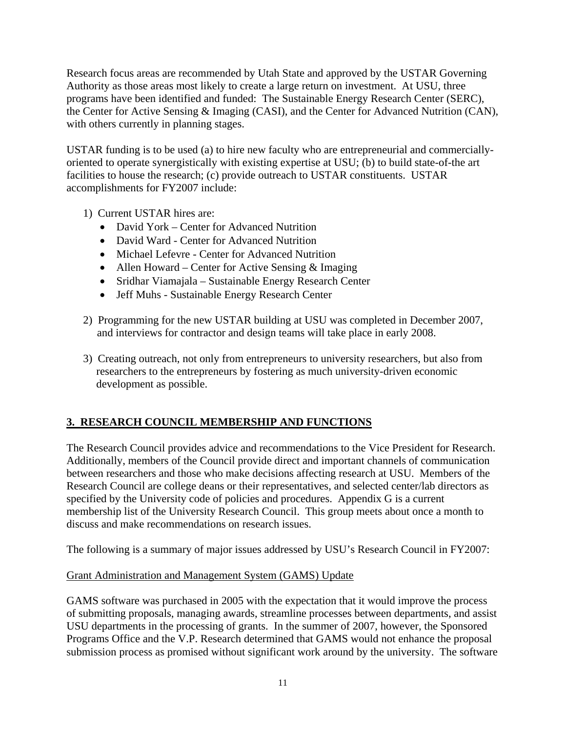Research focus areas are recommended by Utah State and approved by the USTAR Governing Authority as those areas most likely to create a large return on investment. At USU, three programs have been identified and funded: The Sustainable Energy Research Center (SERC), the Center for Active Sensing & Imaging (CASI), and the Center for Advanced Nutrition (CAN), with others currently in planning stages.

USTAR funding is to be used (a) to hire new faculty who are entrepreneurial and commerciallyoriented to operate synergistically with existing expertise at USU; (b) to build state-of-the art facilities to house the research; (c) provide outreach to USTAR constituents. USTAR accomplishments for FY2007 include:

- 1) Current USTAR hires are:
	- David York Center for Advanced Nutrition
	- David Ward Center for Advanced Nutrition
	- Michael Lefevre Center for Advanced Nutrition
	- Allen Howard Center for Active Sensing & Imaging
	- Sridhar Viamajala Sustainable Energy Research Center
	- Jeff Muhs Sustainable Energy Research Center
- 2) Programming for the new USTAR building at USU was completed in December 2007, and interviews for contractor and design teams will take place in early 2008.
- 3) Creating outreach, not only from entrepreneurs to university researchers, but also from researchers to the entrepreneurs by fostering as much university-driven economic development as possible.

## **3. RESEARCH COUNCIL MEMBERSHIP AND FUNCTIONS**

The Research Council provides advice and recommendations to the Vice President for Research. Additionally, members of the Council provide direct and important channels of communication between researchers and those who make decisions affecting research at USU. Members of the Research Council are college deans or their representatives, and selected center/lab directors as specified by the University code of policies and procedures. Appendix G is a current membership list of the University Research Council. This group meets about once a month to discuss and make recommendations on research issues.

The following is a summary of major issues addressed by USU's Research Council in FY2007:

## Grant Administration and Management System (GAMS) Update

GAMS software was purchased in 2005 with the expectation that it would improve the process of submitting proposals, managing awards, streamline processes between departments, and assist USU departments in the processing of grants. In the summer of 2007, however, the Sponsored Programs Office and the V.P. Research determined that GAMS would not enhance the proposal submission process as promised without significant work around by the university. The software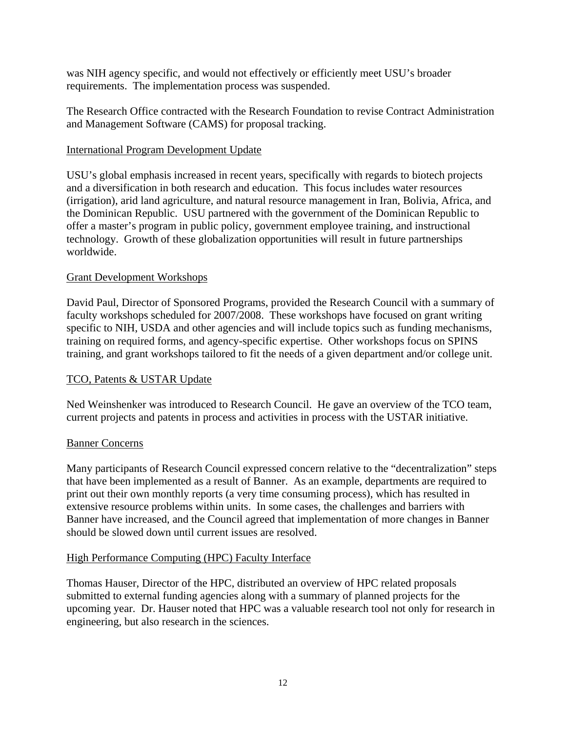was NIH agency specific, and would not effectively or efficiently meet USU's broader requirements. The implementation process was suspended.

The Research Office contracted with the Research Foundation to revise Contract Administration and Management Software (CAMS) for proposal tracking.

### International Program Development Update

USU's global emphasis increased in recent years, specifically with regards to biotech projects and a diversification in both research and education. This focus includes water resources (irrigation), arid land agriculture, and natural resource management in Iran, Bolivia, Africa, and the Dominican Republic. USU partnered with the government of the Dominican Republic to offer a master's program in public policy, government employee training, and instructional technology. Growth of these globalization opportunities will result in future partnerships worldwide.

### Grant Development Workshops

David Paul, Director of Sponsored Programs, provided the Research Council with a summary of faculty workshops scheduled for 2007/2008. These workshops have focused on grant writing specific to NIH, USDA and other agencies and will include topics such as funding mechanisms, training on required forms, and agency-specific expertise. Other workshops focus on SPINS training, and grant workshops tailored to fit the needs of a given department and/or college unit.

## TCO, Patents & USTAR Update

Ned Weinshenker was introduced to Research Council. He gave an overview of the TCO team, current projects and patents in process and activities in process with the USTAR initiative.

#### Banner Concerns

Many participants of Research Council expressed concern relative to the "decentralization" steps that have been implemented as a result of Banner. As an example, departments are required to print out their own monthly reports (a very time consuming process), which has resulted in extensive resource problems within units. In some cases, the challenges and barriers with Banner have increased, and the Council agreed that implementation of more changes in Banner should be slowed down until current issues are resolved.

#### High Performance Computing (HPC) Faculty Interface

Thomas Hauser, Director of the HPC, distributed an overview of HPC related proposals submitted to external funding agencies along with a summary of planned projects for the upcoming year. Dr. Hauser noted that HPC was a valuable research tool not only for research in engineering, but also research in the sciences.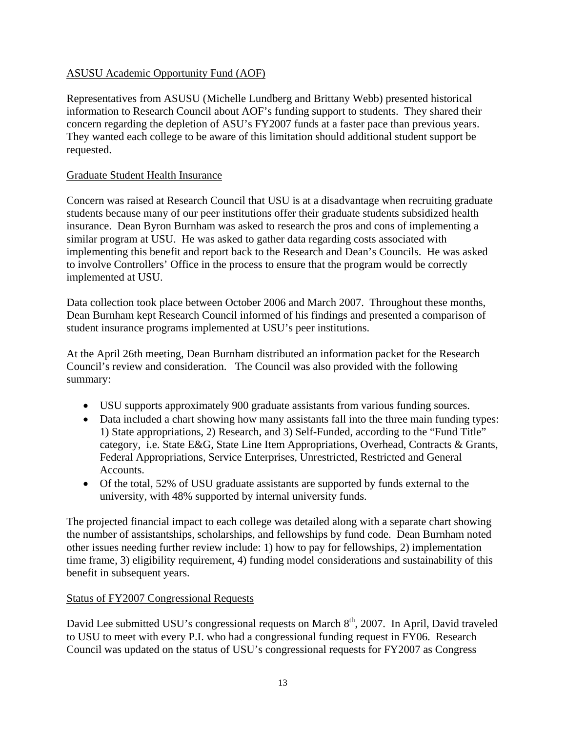## ASUSU Academic Opportunity Fund (AOF)

Representatives from ASUSU (Michelle Lundberg and Brittany Webb) presented historical information to Research Council about AOF's funding support to students. They shared their concern regarding the depletion of ASU's FY2007 funds at a faster pace than previous years. They wanted each college to be aware of this limitation should additional student support be requested.

## Graduate Student Health Insurance

Concern was raised at Research Council that USU is at a disadvantage when recruiting graduate students because many of our peer institutions offer their graduate students subsidized health insurance. Dean Byron Burnham was asked to research the pros and cons of implementing a similar program at USU. He was asked to gather data regarding costs associated with implementing this benefit and report back to the Research and Dean's Councils. He was asked to involve Controllers' Office in the process to ensure that the program would be correctly implemented at USU.

Data collection took place between October 2006 and March 2007. Throughout these months, Dean Burnham kept Research Council informed of his findings and presented a comparison of student insurance programs implemented at USU's peer institutions.

At the April 26th meeting, Dean Burnham distributed an information packet for the Research Council's review and consideration. The Council was also provided with the following summary:

- USU supports approximately 900 graduate assistants from various funding sources.
- Data included a chart showing how many assistants fall into the three main funding types: 1) State appropriations, 2) Research, and 3) Self-Funded, according to the "Fund Title" category, i.e. State E&G, State Line Item Appropriations, Overhead, Contracts & Grants, Federal Appropriations, Service Enterprises, Unrestricted, Restricted and General Accounts.
- Of the total, 52% of USU graduate assistants are supported by funds external to the university, with 48% supported by internal university funds.

The projected financial impact to each college was detailed along with a separate chart showing the number of assistantships, scholarships, and fellowships by fund code. Dean Burnham noted other issues needing further review include: 1) how to pay for fellowships, 2) implementation time frame, 3) eligibility requirement, 4) funding model considerations and sustainability of this benefit in subsequent years.

## Status of FY2007 Congressional Requests

David Lee submitted USU's congressional requests on March 8<sup>th</sup>, 2007. In April, David traveled to USU to meet with every P.I. who had a congressional funding request in FY06. Research Council was updated on the status of USU's congressional requests for FY2007 as Congress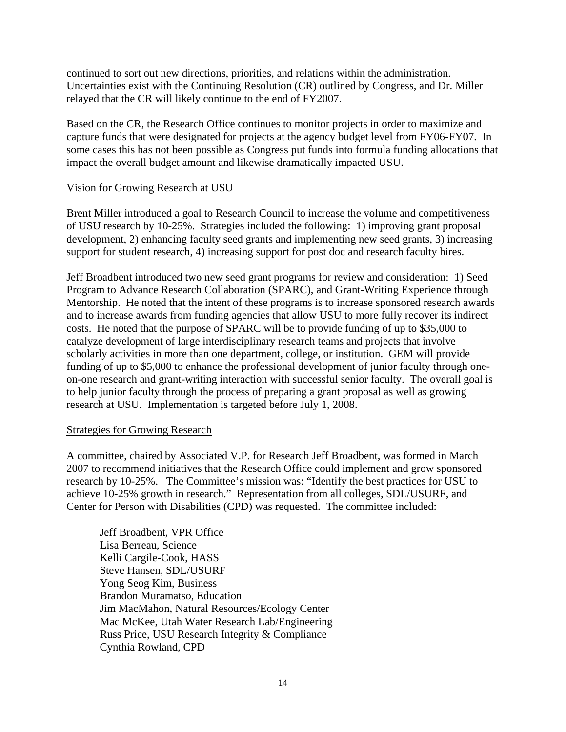continued to sort out new directions, priorities, and relations within the administration. Uncertainties exist with the Continuing Resolution (CR) outlined by Congress, and Dr. Miller relayed that the CR will likely continue to the end of FY2007.

Based on the CR, the Research Office continues to monitor projects in order to maximize and capture funds that were designated for projects at the agency budget level from FY06-FY07. In some cases this has not been possible as Congress put funds into formula funding allocations that impact the overall budget amount and likewise dramatically impacted USU.

#### Vision for Growing Research at USU

Brent Miller introduced a goal to Research Council to increase the volume and competitiveness of USU research by 10-25%. Strategies included the following: 1) improving grant proposal development, 2) enhancing faculty seed grants and implementing new seed grants, 3) increasing support for student research, 4) increasing support for post doc and research faculty hires.

Jeff Broadbent introduced two new seed grant programs for review and consideration: 1) Seed Program to Advance Research Collaboration (SPARC), and Grant-Writing Experience through Mentorship. He noted that the intent of these programs is to increase sponsored research awards and to increase awards from funding agencies that allow USU to more fully recover its indirect costs. He noted that the purpose of SPARC will be to provide funding of up to \$35,000 to catalyze development of large interdisciplinary research teams and projects that involve scholarly activities in more than one department, college, or institution. GEM will provide funding of up to \$5,000 to enhance the professional development of junior faculty through oneon-one research and grant-writing interaction with successful senior faculty. The overall goal is to help junior faculty through the process of preparing a grant proposal as well as growing research at USU. Implementation is targeted before July 1, 2008.

#### Strategies for Growing Research

A committee, chaired by Associated V.P. for Research Jeff Broadbent, was formed in March 2007 to recommend initiatives that the Research Office could implement and grow sponsored research by 10-25%. The Committee's mission was: "Identify the best practices for USU to achieve 10-25% growth in research." Representation from all colleges, SDL/USURF, and Center for Person with Disabilities (CPD) was requested. The committee included:

Jeff Broadbent, VPR Office Lisa Berreau, Science Kelli Cargile-Cook, HASS Steve Hansen, SDL/USURF Yong Seog Kim, Business Brandon Muramatso, Education Jim MacMahon, Natural Resources/Ecology Center Mac McKee, Utah Water Research Lab/Engineering Russ Price, USU Research Integrity & Compliance Cynthia Rowland, CPD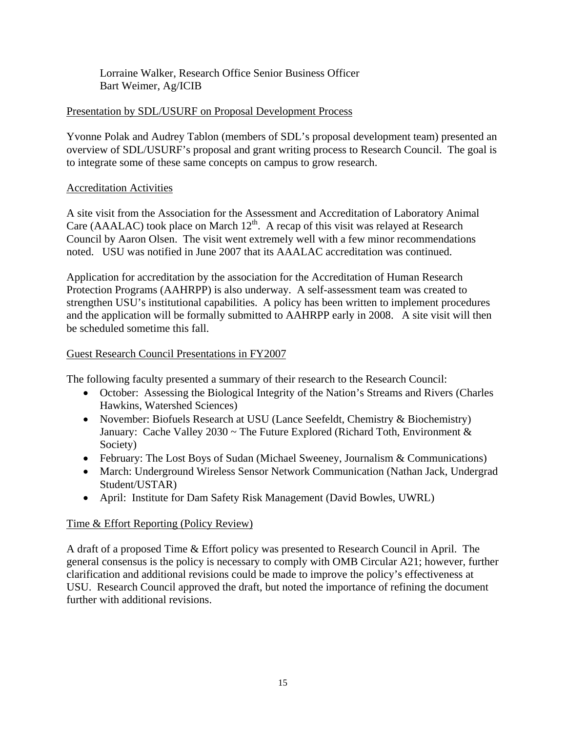Lorraine Walker, Research Office Senior Business Officer Bart Weimer, Ag/ICIB

## Presentation by SDL/USURF on Proposal Development Process

Yvonne Polak and Audrey Tablon (members of SDL's proposal development team) presented an overview of SDL/USURF's proposal and grant writing process to Research Council. The goal is to integrate some of these same concepts on campus to grow research.

## Accreditation Activities

A site visit from the Association for the Assessment and Accreditation of Laboratory Animal Care (AAALAC) took place on March  $12<sup>th</sup>$ . A recap of this visit was relayed at Research Council by Aaron Olsen. The visit went extremely well with a few minor recommendations noted. USU was notified in June 2007 that its AAALAC accreditation was continued.

Application for accreditation by the association for the Accreditation of Human Research Protection Programs (AAHRPP) is also underway. A self-assessment team was created to strengthen USU's institutional capabilities. A policy has been written to implement procedures and the application will be formally submitted to AAHRPP early in 2008. A site visit will then be scheduled sometime this fall.

## Guest Research Council Presentations in FY2007

The following faculty presented a summary of their research to the Research Council:

- October: Assessing the Biological Integrity of the Nation's Streams and Rivers (Charles Hawkins, Watershed Sciences)
- November: Biofuels Research at USU (Lance Seefeldt, Chemistry & Biochemistry) January: Cache Valley 2030 ~ The Future Explored (Richard Toth, Environment & Society)
- February: The Lost Boys of Sudan (Michael Sweeney, Journalism & Communications)
- March: Underground Wireless Sensor Network Communication (Nathan Jack, Undergrad Student/USTAR)
- April: Institute for Dam Safety Risk Management (David Bowles, UWRL)

## Time & Effort Reporting (Policy Review)

A draft of a proposed Time & Effort policy was presented to Research Council in April. The general consensus is the policy is necessary to comply with OMB Circular A21; however, further clarification and additional revisions could be made to improve the policy's effectiveness at USU. Research Council approved the draft, but noted the importance of refining the document further with additional revisions.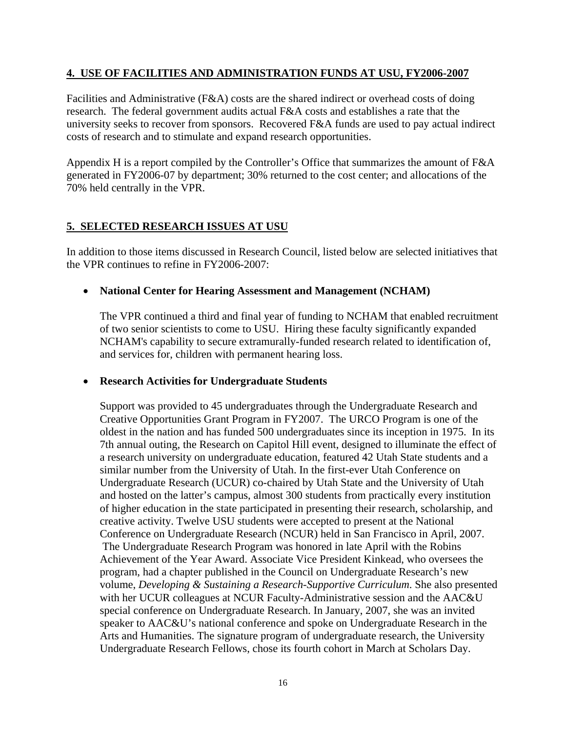### **4. USE OF FACILITIES AND ADMINISTRATION FUNDS AT USU, FY2006-2007**

Facilities and Administrative (F&A) costs are the shared indirect or overhead costs of doing research. The federal government audits actual F&A costs and establishes a rate that the university seeks to recover from sponsors. Recovered F&A funds are used to pay actual indirect costs of research and to stimulate and expand research opportunities.

Appendix H is a report compiled by the Controller's Office that summarizes the amount of F&A generated in FY2006-07 by department; 30% returned to the cost center; and allocations of the 70% held centrally in the VPR.

### **5. SELECTED RESEARCH ISSUES AT USU**

In addition to those items discussed in Research Council, listed below are selected initiatives that the VPR continues to refine in FY2006-2007:

### • **National Center for Hearing Assessment and Management (NCHAM)**

The VPR continued a third and final year of funding to NCHAM that enabled recruitment of two senior scientists to come to USU. Hiring these faculty significantly expanded NCHAM's capability to secure extramurally-funded research related to identification of, and services for, children with permanent hearing loss.

#### • **Research Activities for Undergraduate Students**

Support was provided to 45 undergraduates through the Undergraduate Research and Creative Opportunities Grant Program in FY2007. The URCO Program is one of the oldest in the nation and has funded 500 undergraduates since its inception in 1975. In its 7th annual outing, the Research on Capitol Hill event, designed to illuminate the effect of a research university on undergraduate education, featured 42 Utah State students and a similar number from the University of Utah. In the first-ever Utah Conference on Undergraduate Research (UCUR) co-chaired by Utah State and the University of Utah and hosted on the latter's campus, almost 300 students from practically every institution of higher education in the state participated in presenting their research, scholarship, and creative activity. Twelve USU students were accepted to present at the National Conference on Undergraduate Research (NCUR) held in San Francisco in April, 2007. The Undergraduate Research Program was honored in late April with the Robins Achievement of the Year Award. Associate Vice President Kinkead, who oversees the program, had a chapter published in the Council on Undergraduate Research's new volume, *Developing & Sustaining a Research-Supportive Curriculum*. She also presented with her UCUR colleagues at NCUR Faculty-Administrative session and the AAC&U special conference on Undergraduate Research. In January, 2007, she was an invited speaker to AAC&U's national conference and spoke on Undergraduate Research in the Arts and Humanities. The signature program of undergraduate research, the University Undergraduate Research Fellows, chose its fourth cohort in March at Scholars Day.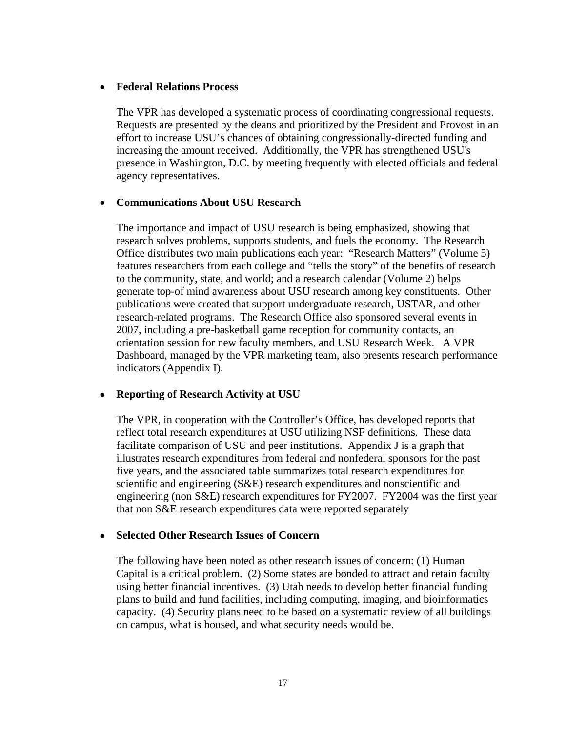#### • **Federal Relations Process**

The VPR has developed a systematic process of coordinating congressional requests. Requests are presented by the deans and prioritized by the President and Provost in an effort to increase USU's chances of obtaining congressionally-directed funding and increasing the amount received. Additionally, the VPR has strengthened USU's presence in Washington, D.C. by meeting frequently with elected officials and federal agency representatives.

#### • **Communications About USU Research**

The importance and impact of USU research is being emphasized, showing that research solves problems, supports students, and fuels the economy. The Research Office distributes two main publications each year: "Research Matters" (Volume 5) features researchers from each college and "tells the story" of the benefits of research to the community, state, and world; and a research calendar (Volume 2) helps generate top-of mind awareness about USU research among key constituents. Other publications were created that support undergraduate research, USTAR, and other research-related programs. The Research Office also sponsored several events in 2007, including a pre-basketball game reception for community contacts, an orientation session for new faculty members, and USU Research Week. A VPR Dashboard, managed by the VPR marketing team, also presents research performance indicators (Appendix I).

#### • **Reporting of Research Activity at USU**

The VPR, in cooperation with the Controller's Office, has developed reports that reflect total research expenditures at USU utilizing NSF definitions. These data facilitate comparison of USU and peer institutions. Appendix J is a graph that illustrates research expenditures from federal and nonfederal sponsors for the past five years, and the associated table summarizes total research expenditures for scientific and engineering (S&E) research expenditures and nonscientific and engineering (non S&E) research expenditures for FY2007. FY2004 was the first year that non S&E research expenditures data were reported separately

#### • **Selected Other Research Issues of Concern**

The following have been noted as other research issues of concern: (1) Human Capital is a critical problem. (2) Some states are bonded to attract and retain faculty using better financial incentives. (3) Utah needs to develop better financial funding plans to build and fund facilities, including computing, imaging, and bioinformatics capacity. (4) Security plans need to be based on a systematic review of all buildings on campus, what is housed, and what security needs would be.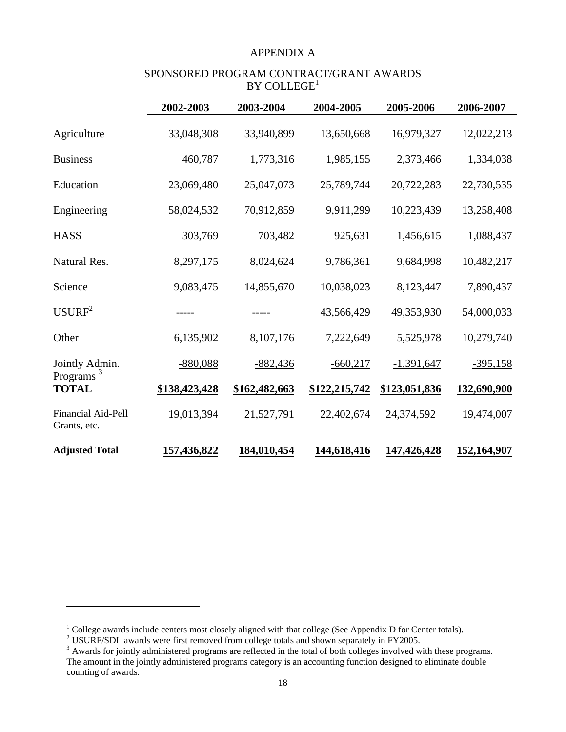#### APPENDIX A

#### SPONSORED PROGRAM CONTRACT/GRANT AWARDS  $\mathbf{BY}$  COLLEGE<sup>1</sup>

|                                           | 2002-2003     | 2003-2004     | 2004-2005     | 2005-2006     | 2006-2007   |
|-------------------------------------------|---------------|---------------|---------------|---------------|-------------|
| Agriculture                               | 33,048,308    | 33,940,899    | 13,650,668    | 16,979,327    | 12,022,213  |
| <b>Business</b>                           | 460,787       | 1,773,316     | 1,985,155     | 2,373,466     | 1,334,038   |
| Education                                 | 23,069,480    | 25,047,073    | 25,789,744    | 20,722,283    | 22,730,535  |
| Engineering                               | 58,024,532    | 70,912,859    | 9,911,299     | 10,223,439    | 13,258,408  |
| <b>HASS</b>                               | 303,769       | 703,482       | 925,631       | 1,456,615     | 1,088,437   |
| Natural Res.                              | 8,297,175     | 8,024,624     | 9,786,361     | 9,684,998     | 10,482,217  |
| Science                                   | 9,083,475     | 14,855,670    | 10,038,023    | 8,123,447     | 7,890,437   |
| USURF <sup>2</sup>                        |               |               | 43,566,429    | 49,353,930    | 54,000,033  |
| Other                                     | 6,135,902     | 8,107,176     | 7,222,649     | 5,525,978     | 10,279,740  |
| Jointly Admin.                            | $-880,088$    | $-882,436$    | $-660,217$    | $-1,391,647$  | $-395,158$  |
| Programs <sup>3</sup><br><b>TOTAL</b>     | \$138,423,428 | \$162,482,663 | \$122,215,742 | \$123,051,836 | 132,690,900 |
| <b>Financial Aid-Pell</b><br>Grants, etc. | 19,013,394    | 21,527,791    | 22,402,674    | 24,374,592    | 19,474,007  |
| <b>Adjusted Total</b>                     | 157,436,822   | 184,010,454   | 144,618,416   | 147,426,428   | 152,164,907 |

 $\overline{a}$ 

<sup>&</sup>lt;sup>1</sup> College awards include centers most closely aligned with that college (See Appendix D for Center totals).<br><sup>2</sup> USURF/SDL awards were first removed from college totals and shown separately in FY2005.

 $3$  Awards for jointly administered programs are reflected in the total of both colleges involved with these programs. The amount in the jointly administered programs category is an accounting function designed to eliminate double counting of awards.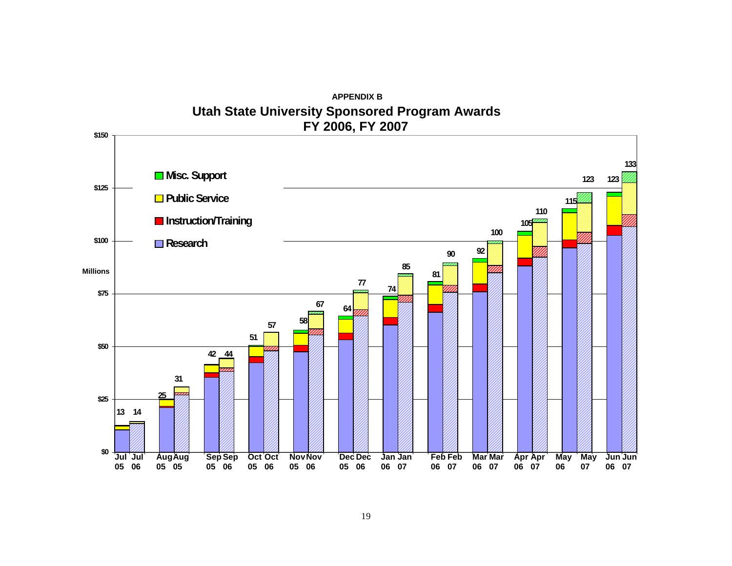

**APPENDIX BUtah State University Sponsored Program Awards**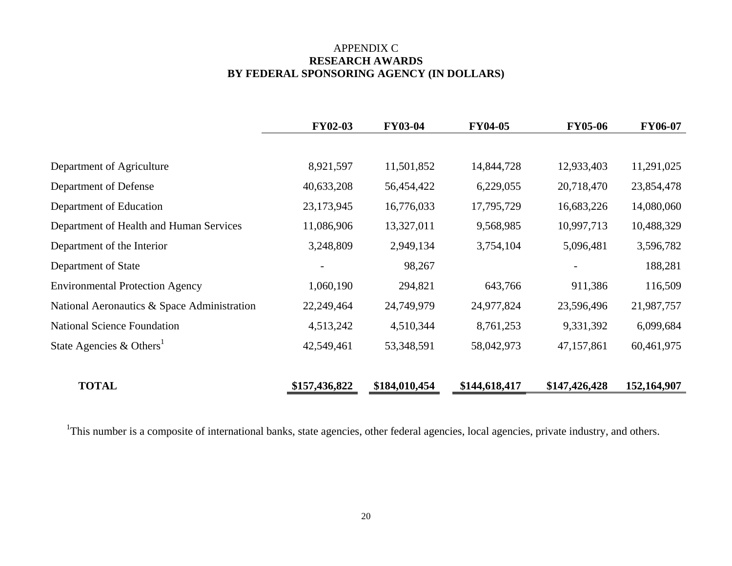## APPENDIX C **RESEARCH AWARDS BY FEDERAL SPONSORING AGENCY (IN DOLLARS)**

|                                             | <b>FY02-03</b> | <b>FY03-04</b> | <b>FY04-05</b> | <b>FY05-06</b> | <b>FY06-07</b> |
|---------------------------------------------|----------------|----------------|----------------|----------------|----------------|
|                                             |                |                |                |                |                |
| Department of Agriculture                   | 8,921,597      | 11,501,852     | 14,844,728     | 12,933,403     | 11,291,025     |
| Department of Defense                       | 40,633,208     | 56,454,422     | 6,229,055      | 20,718,470     | 23,854,478     |
| Department of Education                     | 23,173,945     | 16,776,033     | 17,795,729     | 16,683,226     | 14,080,060     |
| Department of Health and Human Services     | 11,086,906     | 13,327,011     | 9,568,985      | 10,997,713     | 10,488,329     |
| Department of the Interior                  | 3,248,809      | 2,949,134      | 3,754,104      | 5,096,481      | 3,596,782      |
| Department of State                         |                | 98,267         |                |                | 188,281        |
| <b>Environmental Protection Agency</b>      | 1,060,190      | 294,821        | 643,766        | 911,386        | 116,509        |
| National Aeronautics & Space Administration | 22,249,464     | 24,749,979     | 24,977,824     | 23,596,496     | 21,987,757     |
| <b>National Science Foundation</b>          | 4,513,242      | 4,510,344      | 8,761,253      | 9,331,392      | 6,099,684      |
| State Agencies & Others <sup>1</sup>        | 42,549,461     | 53,348,591     | 58,042,973     | 47,157,861     | 60,461,975     |
| <b>TOTAL</b>                                | \$157,436,822  | \$184,010,454  | \$144,618,417  | \$147,426,428  | 152,164,907    |

<sup>1</sup>This number is a composite of international banks, state agencies, other federal agencies, local agencies, private industry, and others.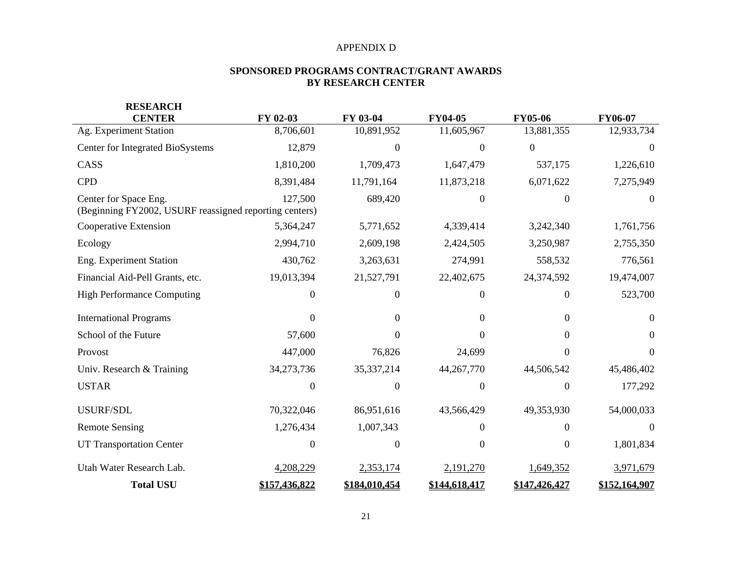#### APPENDIX D

#### **SPONSORED PROGRAMS CONTRACT/GRANT AWARDS BY RESEARCH CENTER**

| <b>RESEARCH</b>                                                                 |                |                  |                  |                |                |
|---------------------------------------------------------------------------------|----------------|------------------|------------------|----------------|----------------|
| <b>CENTER</b>                                                                   | FY 02-03       | FY 03-04         | <b>FY04-05</b>   | <b>FY05-06</b> | <b>FY06-07</b> |
| Ag. Experiment Station                                                          | 8,706,601      | 10,891,952       | 11,605,967       | 13,881,355     | 12,933,734     |
| Center for Integrated BioSystems                                                | 12,879         | $\Omega$         | $\overline{0}$   | $\overline{0}$ | $\Omega$       |
| CASS                                                                            | 1,810,200      | 1,709,473        | 1,647,479        | 537,175        | 1,226,610      |
| <b>CPD</b>                                                                      | 8,391,484      | 11,791,164       | 11,873,218       | 6,071,622      | 7,275,949      |
| Center for Space Eng.<br>(Beginning FY2002, USURF reassigned reporting centers) | 127,500        | 689,420          | $\Omega$         | $\Omega$       | $\Omega$       |
| Cooperative Extension                                                           | 5,364,247      | 5,771,652        | 4,339,414        | 3,242,340      | 1,761,756      |
| Ecology                                                                         | 2,994,710      | 2,609,198        | 2,424,505        | 3,250,987      | 2,755,350      |
| Eng. Experiment Station                                                         | 430,762        | 3,263,631        | 274,991          | 558,532        | 776,561        |
| Financial Aid-Pell Grants, etc.                                                 | 19,013,394     | 21,527,791       | 22,402,675       | 24,374,592     | 19,474,007     |
| <b>High Performance Computing</b>                                               | $\Omega$       | $\boldsymbol{0}$ | $\mathbf{0}$     | 0              | 523,700        |
| <b>International Programs</b>                                                   | $\Omega$       | $\Omega$         | $\Omega$         | $\Omega$       | $\Omega$       |
| School of the Future                                                            | 57,600         | $\Omega$         | $\Omega$         | $\Omega$       | $\Omega$       |
| Provost                                                                         | 447,000        | 76,826           | 24,699           | 0              | 0              |
| Univ. Research & Training                                                       | 34,273,736     | 35, 337, 214     | 44,267,770       | 44,506,542     | 45,486,402     |
| <b>USTAR</b>                                                                    | $\theta$       | $\boldsymbol{0}$ | $\boldsymbol{0}$ | $\Omega$       | 177,292        |
| USURF/SDL                                                                       | 70,322,046     | 86,951,616       | 43,566,429       | 49,353,930     | 54,000,033     |
| <b>Remote Sensing</b>                                                           | 1,276,434      | 1,007,343        | $\Omega$         | 0              | $\theta$       |
| <b>UT Transportation Center</b>                                                 | $\overline{0}$ | $\boldsymbol{0}$ | $\mathbf{0}$     | $\overline{0}$ | 1,801,834      |
| Utah Water Research Lab.                                                        | 4,208,229      | 2,353,174        | 2,191,270        | 1,649,352      | 3,971,679      |
| <b>Total USU</b>                                                                | \$157,436,822  | \$184,010,454    | \$144,618,417    | \$147,426,427  | \$152,164,907  |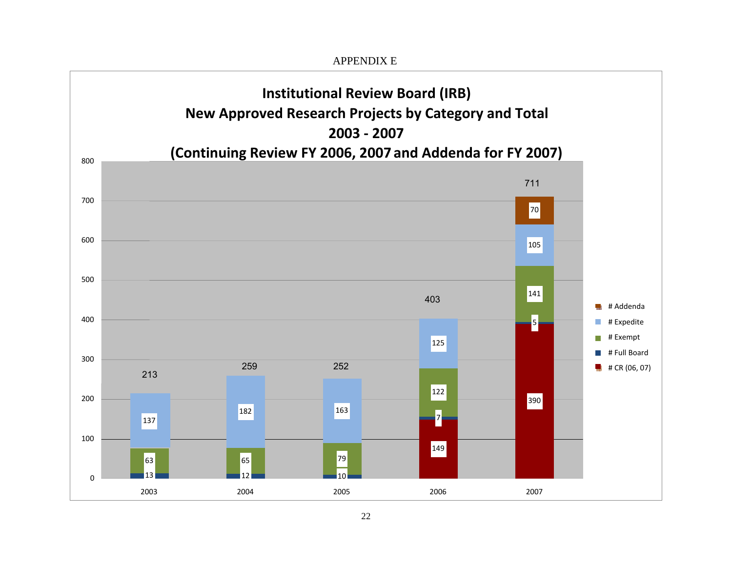APPENDIX E **Institutional Review Board (IRB) New Approved Research Projects by Category and Total 2003 ‐ 2007(Continuing Review FY 2006, 2007 and Addenda for FY 2007)** 800 711 70070 600105 500 141 403 <u>land</u> # Addenda 400  $\overline{\phantom{a}}$ # Expedite 5  $\Box$ # Exempt 125 **I** # Full Board 300 (06, 07) <sup>213</sup><sup>259</sup> <sup>252</sup> # CR122 200390 182 163 7137 100149 633 79 65 79 79 1303 and the contract of the state  $\sim$  12 2 and 10 2003 2004 2005 2006 2007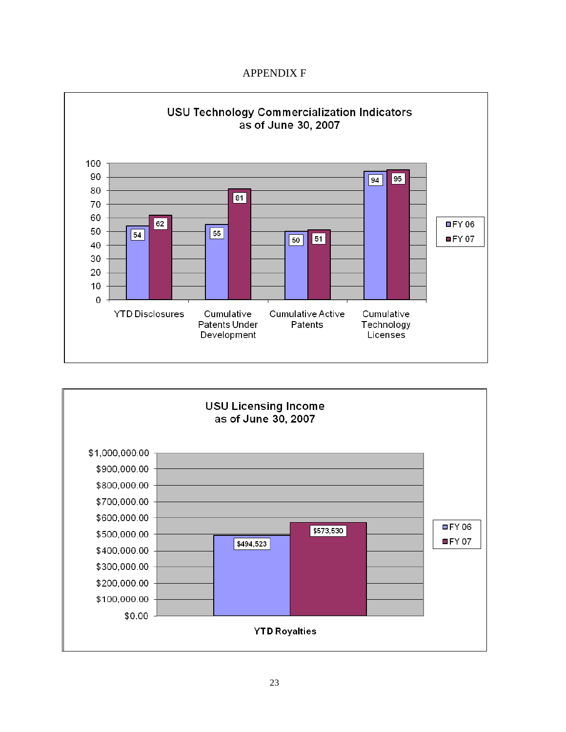## APPENDIX F



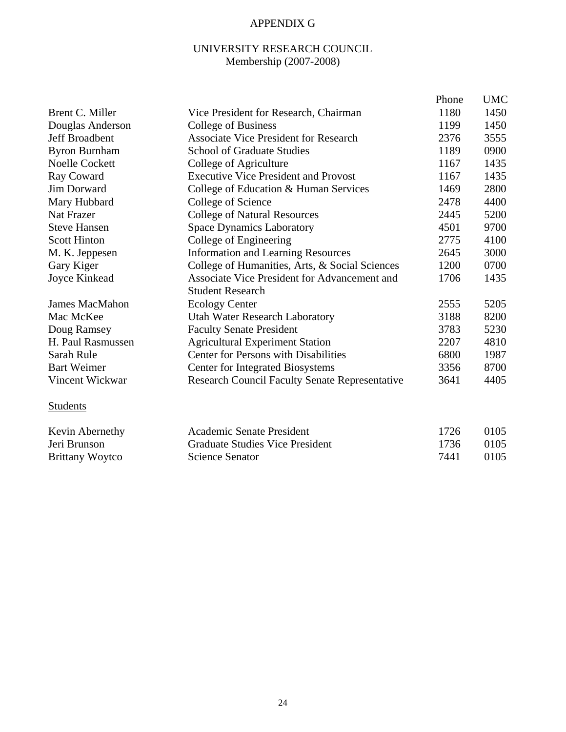## APPENDIX G

## UNIVERSITY RESEARCH COUNCIL Membership (2007-2008)

|                       |                                                       | Phone | <b>UMC</b> |
|-----------------------|-------------------------------------------------------|-------|------------|
| Brent C. Miller       | Vice President for Research, Chairman                 | 1180  | 1450       |
| Douglas Anderson      | College of Business                                   | 1199  | 1450       |
| Jeff Broadbent        | <b>Associate Vice President for Research</b>          | 2376  | 3555       |
| <b>Byron Burnham</b>  | <b>School of Graduate Studies</b>                     | 1189  | 0900       |
| <b>Noelle Cockett</b> | College of Agriculture                                | 1167  | 1435       |
| Ray Coward            | <b>Executive Vice President and Provost</b>           | 1167  | 1435       |
| Jim Dorward           | College of Education & Human Services                 | 1469  | 2800       |
| Mary Hubbard          | College of Science                                    | 2478  | 4400       |
| <b>Nat Frazer</b>     | <b>College of Natural Resources</b>                   | 2445  | 5200       |
| <b>Steve Hansen</b>   | <b>Space Dynamics Laboratory</b>                      | 4501  | 9700       |
| <b>Scott Hinton</b>   | College of Engineering                                | 2775  | 4100       |
| M. K. Jeppesen        | <b>Information and Learning Resources</b>             | 2645  | 3000       |
| Gary Kiger            | College of Humanities, Arts, & Social Sciences        | 1200  | 0700       |
| Joyce Kinkead         | Associate Vice President for Advancement and          | 1706  | 1435       |
|                       | <b>Student Research</b>                               |       |            |
| <b>James MacMahon</b> | <b>Ecology Center</b>                                 | 2555  | 5205       |
| Mac McKee             | <b>Utah Water Research Laboratory</b>                 | 3188  | 8200       |
| Doug Ramsey           | <b>Faculty Senate President</b>                       | 3783  | 5230       |
| H. Paul Rasmussen     | <b>Agricultural Experiment Station</b>                | 2207  | 4810       |
| Sarah Rule            | <b>Center for Persons with Disabilities</b>           | 6800  | 1987       |
| <b>Bart Weimer</b>    | <b>Center for Integrated Biosystems</b>               | 3356  | 8700       |
| Vincent Wickwar       | <b>Research Council Faculty Senate Representative</b> | 3641  | 4405       |
| <b>Students</b>       |                                                       |       |            |
|                       |                                                       |       |            |

| Kevin Abernethy        | Academic Senate President       | 1726    | 0105 |
|------------------------|---------------------------------|---------|------|
| Jeri Brunson           | Graduate Studies Vice President | -1736 - | 0105 |
| <b>Brittany Woytco</b> | Science Senator                 | 7441    | 0105 |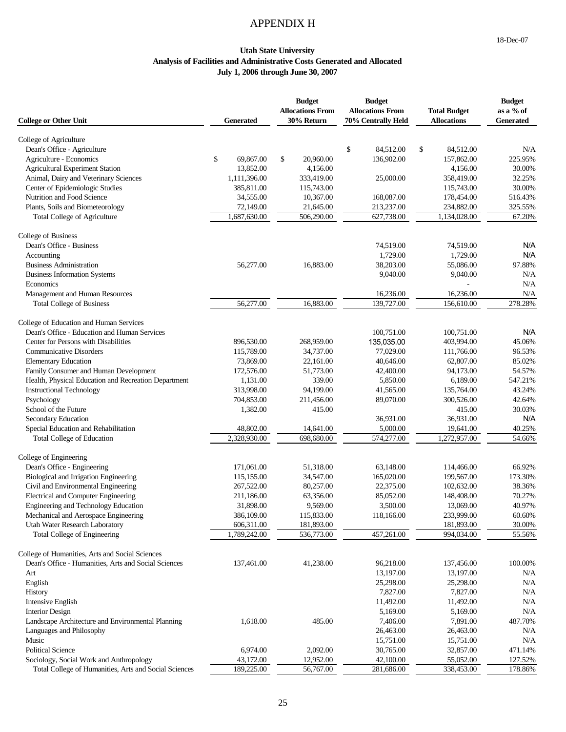## APPENDIX H

#### **Utah State University Analysis of Facilities and Administrative Costs Generated and Allocated July 1, 2006 through June 30, 2007**

| <b>College or Other Unit</b>                                                                     | <b>Generated</b>        | <b>Budget</b><br><b>Allocations From</b><br>30% Return | <b>Budget</b><br><b>Allocations From</b><br>70% Centrally Held | <b>Total Budget</b><br><b>Allocations</b> | <b>Budget</b><br>as a % of<br><b>Generated</b> |
|--------------------------------------------------------------------------------------------------|-------------------------|--------------------------------------------------------|----------------------------------------------------------------|-------------------------------------------|------------------------------------------------|
|                                                                                                  |                         |                                                        |                                                                |                                           |                                                |
| College of Agriculture<br>Dean's Office - Agriculture                                            |                         |                                                        | \$<br>84,512.00                                                | \$<br>84,512.00                           | N/A                                            |
| Agriculture - Economics                                                                          | \$<br>69,867.00         | \$<br>20,960.00                                        | 136,902.00                                                     | 157,862.00                                | 225.95%                                        |
| <b>Agricultural Experiment Station</b>                                                           | 13,852.00               | 4,156.00                                               |                                                                | 4,156.00                                  | 30.00%                                         |
| Animal, Dairy and Veterinary Sciences                                                            | 1,111,396.00            | 333,419.00                                             | 25,000.00                                                      | 358,419.00                                | 32.25%                                         |
| Center of Epidemiologic Studies                                                                  | 385,811.00              | 115,743.00                                             |                                                                | 115,743.00                                | 30.00%                                         |
| Nutrition and Food Science                                                                       | 34,555.00               | 10,367.00                                              | 168,087.00                                                     | 178,454.00                                | 516.43%                                        |
| Plants, Soils and Biometeorology                                                                 | 72,149.00               | 21,645.00                                              | 213,237.00                                                     | 234,882.00                                | 325.55%                                        |
| <b>Total College of Agriculture</b>                                                              | 1,687,630.00            | 506,290.00                                             | 627,738.00                                                     | 1,134,028.00                              | 67.20%                                         |
| College of Business                                                                              |                         |                                                        |                                                                |                                           |                                                |
| Dean's Office - Business                                                                         |                         |                                                        | 74,519.00                                                      | 74,519.00                                 | N/A                                            |
| Accounting                                                                                       |                         |                                                        | 1,729.00                                                       | 1,729.00                                  | N/A                                            |
| <b>Business Administration</b>                                                                   | 56,277.00               | 16,883.00                                              | 38,203.00                                                      | 55,086.00                                 | 97.88%                                         |
| <b>Business Information Systems</b>                                                              |                         |                                                        | 9,040.00                                                       | 9,040.00                                  | N/A                                            |
| Economics                                                                                        |                         |                                                        |                                                                |                                           | N/A                                            |
| Management and Human Resources                                                                   |                         |                                                        | 16,236.00                                                      | 16,236.00                                 | N/A                                            |
| <b>Total College of Business</b>                                                                 | 56,277.00               | 16,883.00                                              | 139,727.00                                                     | 156,610.00                                | 278.28%                                        |
| College of Education and Human Services                                                          |                         |                                                        |                                                                |                                           |                                                |
| Dean's Office - Education and Human Services                                                     |                         |                                                        | 100,751.00                                                     | 100,751.00                                | N/A                                            |
| Center for Persons with Disabilities                                                             | 896,530.00              | 268,959.00                                             | 135,035.00                                                     | 403,994.00                                | 45.06%                                         |
| <b>Communicative Disorders</b>                                                                   | 115,789.00              | 34,737.00                                              | 77,029.00                                                      | 111,766.00                                | 96.53%                                         |
| <b>Elementary Education</b>                                                                      | 73,869.00               | 22,161.00                                              | 40,646.00                                                      | 62,807.00                                 | 85.02%                                         |
| Family Consumer and Human Development                                                            | 172,576.00              | 51,773.00                                              | 42,400.00                                                      | 94,173.00                                 | 54.57%                                         |
| Health, Physical Education and Recreation Department                                             | 1,131.00                | 339.00                                                 | 5,850.00                                                       | 6,189.00                                  | 547.21%                                        |
| <b>Instructional Technology</b>                                                                  | 313,998.00              | 94,199.00                                              | 41,565.00                                                      | 135,764.00                                | 43.24%                                         |
| Psychology                                                                                       | 704,853.00              | 211,456.00                                             | 89,070.00                                                      | 300,526.00                                | 42.64%                                         |
| School of the Future                                                                             | 1,382.00                | 415.00                                                 |                                                                | 415.00                                    | 30.03%                                         |
| Secondary Education                                                                              |                         |                                                        | 36,931.00                                                      | 36,931.00                                 | N/A                                            |
| Special Education and Rehabilitation                                                             | 48,802.00               | 14,641.00                                              | 5,000.00                                                       | 19,641.00                                 | 40.25%                                         |
| <b>Total College of Education</b>                                                                | 2,328,930.00            | 698,680.00                                             | 574,277.00                                                     | 1,272,957.00                              | 54.66%                                         |
| College of Engineering                                                                           |                         |                                                        |                                                                |                                           |                                                |
| Dean's Office - Engineering                                                                      | 171,061.00              | 51,318.00                                              | 63,148.00                                                      | 114,466.00                                | 66.92%                                         |
| Biological and Irrigation Engineering                                                            | 115,155.00              | 34,547.00                                              | 165,020.00                                                     | 199,567.00                                | 173.30%                                        |
| Civil and Environmental Engineering                                                              | 267,522.00              | 80,257.00                                              | 22,375.00                                                      | 102,632.00                                | 38.36%                                         |
| Electrical and Computer Engineering                                                              | 211,186.00              | 63,356.00                                              | 85,052.00                                                      | 148,408.00                                | 70.27%                                         |
| Engineering and Technology Education                                                             | 31,898.00               | 9,569.00                                               | 3,500.00                                                       | 13,069.00                                 | 40.97%                                         |
| Mechanical and Aerospace Engineering                                                             | 386,109.00              | 115,833.00                                             | 118,166.00                                                     | 233,999.00                                | 60.60%                                         |
| Utah Water Research Laboratory                                                                   | 606,311.00              | 181,893.00                                             |                                                                | 181,893.00                                | 30.00%                                         |
| Total College of Engineering                                                                     | 1,789,242.00            | 536,773.00                                             | 457,261.00                                                     | 994,034.00                                | 55.56%                                         |
| College of Humanities, Arts and Social Sciences                                                  |                         |                                                        |                                                                |                                           |                                                |
| Dean's Office - Humanities, Arts and Social Sciences                                             | 137,461.00              | 41,238.00                                              | 96,218.00                                                      | 137,456.00                                | 100.00%                                        |
| Art                                                                                              |                         |                                                        | 13,197.00                                                      | 13,197.00                                 | N/A                                            |
| English                                                                                          |                         |                                                        | 25,298.00                                                      | 25,298.00                                 | N/A                                            |
| History                                                                                          |                         |                                                        | 7,827.00                                                       | 7,827.00                                  | N/A                                            |
| <b>Intensive English</b>                                                                         |                         |                                                        | 11,492.00                                                      | 11,492.00                                 | N/A                                            |
| <b>Interior Design</b>                                                                           |                         |                                                        | 5,169.00                                                       | 5,169.00                                  | N/A                                            |
| Landscape Architecture and Environmental Planning                                                | 1,618.00                | 485.00                                                 | 7,406.00                                                       | 7,891.00                                  | 487.70%                                        |
| Languages and Philosophy                                                                         |                         |                                                        | 26,463.00                                                      | 26,463.00                                 | N/A                                            |
| Music                                                                                            |                         |                                                        | 15,751.00                                                      | 15,751.00                                 | N/A                                            |
| <b>Political Science</b>                                                                         | 6,974.00                | 2,092.00                                               | 30,765.00                                                      | 32,857.00                                 | 471.14%                                        |
| Sociology, Social Work and Anthropology<br>Total College of Humanities, Arts and Social Sciences | 43,172.00<br>189,225.00 | 12,952.00<br>56,767.00                                 | 42,100.00<br>281,686.00                                        | 55,052.00<br>338,453.00                   | 127.52%<br>178.86%                             |
|                                                                                                  |                         |                                                        |                                                                |                                           |                                                |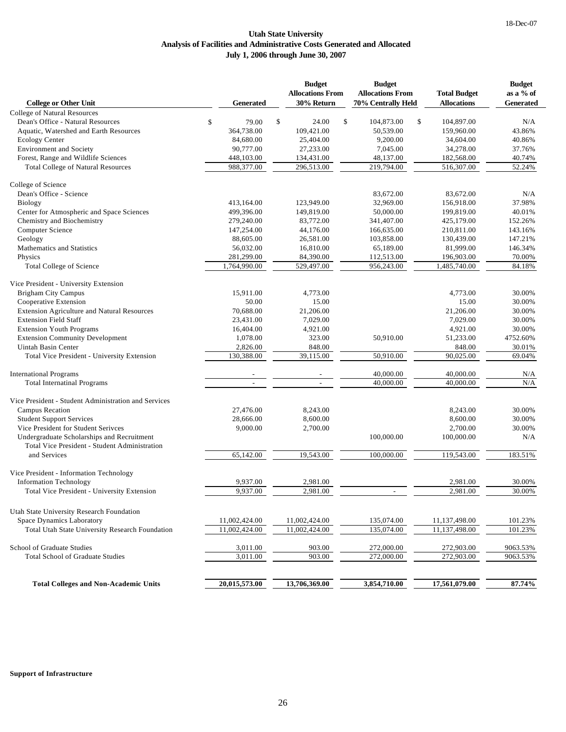#### **Utah State University Analysis of Facilities and Administrative Costs Generated and Allocated July 1, 2006 through June 30, 2007**

|                                                                      |                  | <b>Budget</b><br><b>Allocations From</b> | <b>Budget</b><br><b>Allocations From</b> | <b>Total Budget</b> | <b>Budget</b><br>as a % of |
|----------------------------------------------------------------------|------------------|------------------------------------------|------------------------------------------|---------------------|----------------------------|
| <b>College or Other Unit</b>                                         | <b>Generated</b> | 30% Return                               | 70% Centrally Held                       | <b>Allocations</b>  | <b>Generated</b>           |
| <b>College of Natural Resources</b>                                  |                  |                                          |                                          |                     |                            |
| Dean's Office - Natural Resources                                    | \$<br>79.00      | \$<br>24.00                              | \$<br>\$<br>104,873.00                   | 104,897.00          | N/A                        |
| Aquatic, Watershed and Earth Resources                               | 364,738.00       | 109,421.00                               | 50,539.00                                | 159,960.00          | 43.86%                     |
| <b>Ecology Center</b>                                                | 84,680.00        | 25,404.00                                | 9,200.00                                 | 34,604.00           | 40.86%                     |
| <b>Environment</b> and Society                                       | 90,777.00        | 27,233.00                                | 7,045.00                                 | 34,278.00           | 37.76%                     |
| Forest, Range and Wildlife Sciences                                  | 448,103.00       | 134,431.00                               | 48,137.00                                | 182,568.00          | 40.74%                     |
| <b>Total College of Natural Resources</b>                            | 988,377.00       | 296,513.00                               | 219,794.00                               | 516,307.00          | 52.24%                     |
| College of Science                                                   |                  |                                          |                                          |                     |                            |
| Dean's Office - Science                                              |                  |                                          | 83,672.00                                | 83,672.00           | N/A                        |
| <b>Biology</b>                                                       | 413,164.00       | 123,949.00                               | 32,969.00                                | 156,918.00          | 37.98%                     |
| Center for Atmospheric and Space Sciences                            | 499,396.00       | 149,819.00                               | 50,000.00                                | 199,819.00          | 40.01%                     |
| Chemistry and Biochemistry                                           | 279,240.00       | 83,772.00                                | 341,407.00                               | 425,179.00          | 152.26%                    |
| Computer Science                                                     | 147,254.00       | 44,176.00                                | 166,635.00                               | 210,811.00          | 143.16%                    |
| Geology                                                              | 88,605.00        | 26,581.00                                | 103,858.00                               | 130,439.00          | 147.21%                    |
| Mathematics and Statistics                                           | 56,032.00        | 16,810.00                                | 65,189.00                                | 81,999.00           | 146.34%                    |
| Physics                                                              | 281,299.00       | 84,390.00                                | 112,513.00                               | 196,903.00          | 70.00%                     |
| <b>Total College of Science</b>                                      | 1,764,990.00     | 529,497.00                               | 956,243.00                               | 1,485,740.00        | 84.18%                     |
| Vice President - University Extension                                |                  |                                          |                                          |                     |                            |
| <b>Brigham City Campus</b>                                           | 15,911.00        | 4,773.00                                 |                                          | 4,773.00            | 30.00%                     |
| Cooperative Extension                                                | 50.00            | 15.00                                    |                                          | 15.00               | 30.00%                     |
| <b>Extension Agriculture and Natural Resources</b>                   | 70,688.00        | 21,206.00                                |                                          | 21,206.00           | 30.00%                     |
| <b>Extension Field Staff</b>                                         | 23,431.00        | 7,029.00                                 |                                          | 7,029.00            | 30.00%                     |
| <b>Extension Youth Programs</b>                                      | 16,404.00        | 4,921.00                                 |                                          | 4,921.00            | 30.00%                     |
|                                                                      | 1,078.00         |                                          |                                          |                     |                            |
| <b>Extension Community Development</b><br><b>Uintah Basin Center</b> |                  | 323.00                                   | 50,910.00                                | 51,233.00           | 4752.60%                   |
|                                                                      | 2,826.00         | 848.00                                   |                                          | 848.00              | 30.01%                     |
| Total Vice President - University Extension                          | 130,388.00       | 39,115.00                                | 50,910.00                                | 90,025.00           | 69.04%                     |
| <b>International Programs</b>                                        |                  |                                          | 40,000.00                                | 40,000.00           | N/A                        |
| <b>Total Internatinal Programs</b>                                   |                  |                                          | 40,000.00                                | 40,000.00           | N/A                        |
| Vice President - Student Administration and Services                 |                  |                                          |                                          |                     |                            |
| <b>Campus Recation</b>                                               | 27,476.00        | 8,243.00                                 |                                          | 8,243.00            | 30.00%                     |
| <b>Student Support Services</b>                                      | 28,666.00        | 8,600.00                                 |                                          | 8,600.00            | 30.00%                     |
| Vice President for Student Serivces                                  | 9,000.00         | 2,700.00                                 |                                          | 2,700.00            | 30.00%                     |
| Undergraduate Scholarships and Recruitment                           |                  |                                          | 100,000.00                               | 100,000.00          | N/A                        |
| Total Vice President - Student Administration                        |                  |                                          |                                          |                     |                            |
| and Services                                                         | 65,142.00        | 19,543.00                                | 100,000.00                               | 119,543.00          | 183.51%                    |
| Vice President - Information Technology                              |                  |                                          |                                          |                     |                            |
|                                                                      | 9,937.00         | 2,981.00                                 |                                          | 2,981.00            | 30.00%                     |
| <b>Information Technology</b>                                        | 9,937.00         | 2.981.00                                 |                                          | 2.981.00            | 30.00%                     |
| Total Vice President - University Extension                          |                  |                                          |                                          |                     |                            |
| Utah State University Research Foundation                            |                  |                                          |                                          |                     |                            |
| <b>Space Dynamics Laboratory</b>                                     | 11,002,424.00    | 11,002,424.00                            | 135,074.00                               | 11,137,498.00       | 101.23%                    |
| Total Utah State University Research Foundation                      | 11,002,424.00    | 11,002,424.00                            | 135,074.00                               | 11,137,498.00       | 101.23%                    |
| School of Graduate Studies                                           | 3,011.00         | 903.00                                   | 272,000.00                               | 272,903.00          | 9063.53%                   |
| <b>Total School of Graduate Studies</b>                              | 3,011.00         | 903.00                                   | 272,000.00                               | 272,903.00          | 9063.53%                   |
|                                                                      |                  |                                          |                                          |                     |                            |
| <b>Total Colleges and Non-Academic Units</b>                         | 20,015,573.00    | 13,706,369.00                            | 3,854,710.00                             | 17,561,079.00       | 87.74%                     |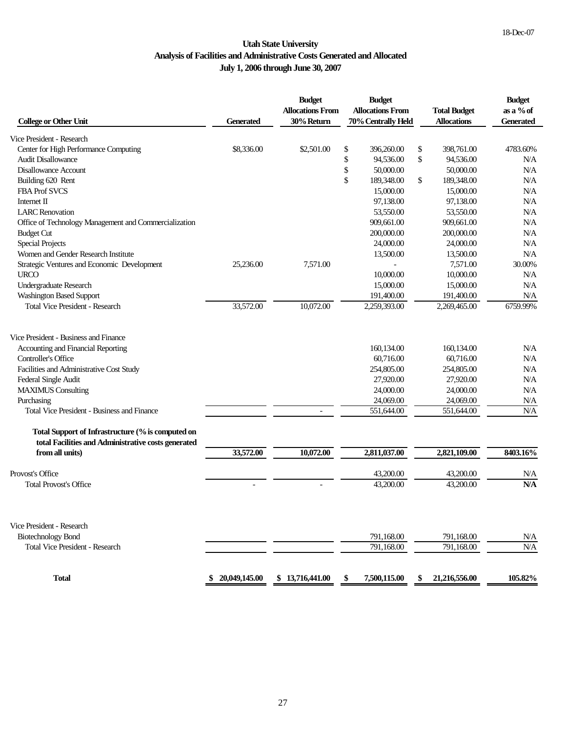#### **Utah State University Analysis of Facilities and Administrative Costs Generated and Allocated July 1, 2006 through June 30, 2007**

| <b>College or Other Unit</b>                                                                             | <b>Generated</b> | <b>Budget</b><br><b>Allocations From</b><br>30% Return | <b>Budget</b><br><b>Allocations From</b><br>70% Centrally Held | <b>Total Budget</b><br><b>Allocations</b> | <b>Budget</b><br>as a % of<br><b>Generated</b> |
|----------------------------------------------------------------------------------------------------------|------------------|--------------------------------------------------------|----------------------------------------------------------------|-------------------------------------------|------------------------------------------------|
|                                                                                                          |                  |                                                        |                                                                |                                           |                                                |
| Vice President - Research                                                                                |                  |                                                        |                                                                |                                           |                                                |
| Center for High Performance Computing                                                                    | \$8,336.00       | \$2,501.00                                             | \$<br>396,260.00                                               | \$<br>398,761.00                          | 4783.60%                                       |
| <b>Audit Disallowance</b>                                                                                |                  |                                                        | \$<br>94,536.00                                                | \$<br>94,536.00                           | N/A                                            |
| <b>Disallowance Account</b>                                                                              |                  |                                                        | \$<br>50,000.00                                                | 50,000.00                                 | N/A                                            |
| Building 620 Rent                                                                                        |                  |                                                        | \$<br>189,348.00                                               | \$<br>189,348.00                          | N/A                                            |
| <b>FBA Prof SVCS</b>                                                                                     |                  |                                                        | 15,000.00                                                      | 15,000.00                                 | N/A                                            |
| Internet II                                                                                              |                  |                                                        | 97,138.00                                                      | 97,138.00                                 | N/A                                            |
| <b>LARC</b> Renovation                                                                                   |                  |                                                        | 53,550.00                                                      | 53,550.00                                 | N/A                                            |
| Office of Technology Management and Commercialization                                                    |                  |                                                        | 909,661.00                                                     | 909,661.00                                | N/A                                            |
| <b>Budget Cut</b>                                                                                        |                  |                                                        | 200,000.00                                                     | 200,000.00                                | N/A                                            |
| <b>Special Projects</b>                                                                                  |                  |                                                        | 24,000.00                                                      | 24,000.00                                 | N/A                                            |
| Women and Gender Research Institute                                                                      |                  |                                                        | 13,500.00                                                      | 13,500.00                                 | N/A                                            |
| Strategic Ventures and Economic Development                                                              | 25,236.00        | 7,571.00                                               |                                                                | 7,571.00                                  | 30.00%                                         |
| <b>URCO</b>                                                                                              |                  |                                                        | 10,000.00                                                      | 10,000.00                                 | N/A                                            |
| <b>Undergraduate Research</b>                                                                            |                  |                                                        | 15,000.00                                                      | 15,000.00                                 | N/A                                            |
| Washington Based Support                                                                                 |                  |                                                        | 191,400.00                                                     | 191,400.00                                | N/A                                            |
| <b>Total Vice President - Research</b>                                                                   | 33,572.00        | 10,072.00                                              | 2,259,393.00                                                   | 2,269,465.00                              | 6759.99%                                       |
| Vice President - Business and Finance                                                                    |                  |                                                        |                                                                |                                           |                                                |
| Accounting and Financial Reporting                                                                       |                  |                                                        |                                                                | 160.134.00                                | N/A                                            |
| Controller's Office                                                                                      |                  |                                                        | 160,134.00                                                     |                                           |                                                |
|                                                                                                          |                  |                                                        | 60,716.00                                                      | 60,716.00                                 | N/A                                            |
| Facilities and Administrative Cost Study                                                                 |                  |                                                        | 254,805.00                                                     | 254,805.00                                | N/A                                            |
| Federal Single Audit                                                                                     |                  |                                                        | 27,920.00                                                      | 27,920.00                                 | N/A                                            |
| <b>MAXIMUS</b> Consulting                                                                                |                  |                                                        | 24,000.00                                                      | 24,000.00                                 | N/A                                            |
| Purchasing                                                                                               |                  |                                                        | 24,069.00                                                      | 24,069.00                                 | N/A                                            |
| Total Vice President - Business and Finance                                                              |                  |                                                        | 551,644.00                                                     | 551,644.00                                | N/A                                            |
| Total Support of Infrastructure (% is computed on<br>total Facilities and Administrative costs generated |                  |                                                        |                                                                |                                           |                                                |
| from all units)                                                                                          | 33,572.00        | 10,072.00                                              | 2,811,037.00                                                   | 2,821,109.00                              | 8403.16%                                       |
| Provost's Office                                                                                         |                  |                                                        | 43,200.00                                                      | 43,200.00                                 | N/A                                            |
| <b>Total Provost's Office</b>                                                                            |                  |                                                        | 43,200.00                                                      | 43,200.00                                 | N/A                                            |
| Vice President - Research                                                                                |                  |                                                        |                                                                |                                           |                                                |
|                                                                                                          |                  |                                                        | 791,168.00                                                     |                                           |                                                |
| <b>Biotechnology Bond</b>                                                                                |                  |                                                        |                                                                | 791,168.00                                | N/A                                            |
| Total Vice President - Research                                                                          |                  |                                                        | 791,168.00                                                     | 791,168.00                                | $\rm N\hspace{-1.3pt}N\hspace{-1.3pt}A$        |
| <b>Total</b>                                                                                             | 20,049,145.00    | \$13,716,441.00                                        | 7,500,115.00                                                   | 21,216,556.00                             | 105.82%                                        |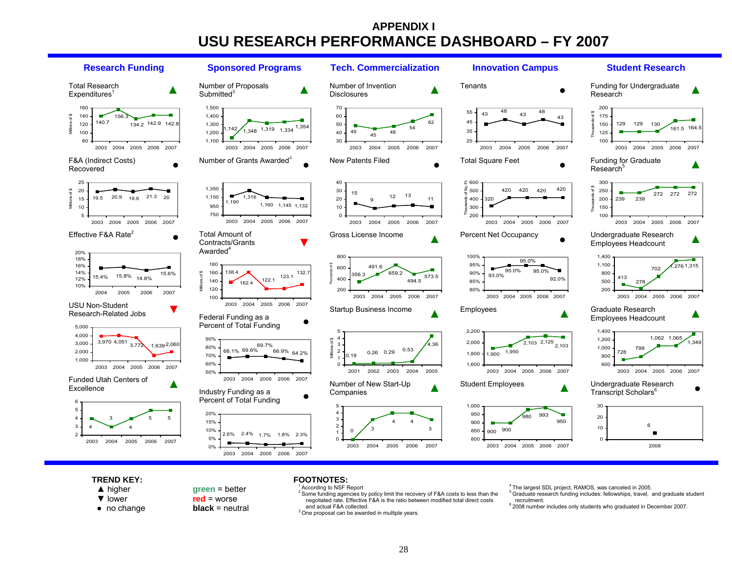## **APPENDIX I USU RESEARCH PERFORMANCE DASHBOARD – FY 2007**



#### **TREND KEY:**

- ▲ higher
- ▼ lower
- no change

**green** = better **red** = worse

**black** = neutral

#### **FOOTNOTES:**According to NSF Report

<sup>2</sup> Some funding agencies by policy limit the recovery of F&A costs to less than the negotiated rate. Effective F&A is the ratio between modified total direct costs and actual F&A collected.  $3$  One proposal can be awarded in multiple years.

<sup>4</sup>The largest SDL project, RAMOS, was canceled in 2005.

 $5$  Graduate research funding includes: fellowships, travel, and graduate student recruitment.

 $6$  2008 number includes only students who graduated in December 2007.